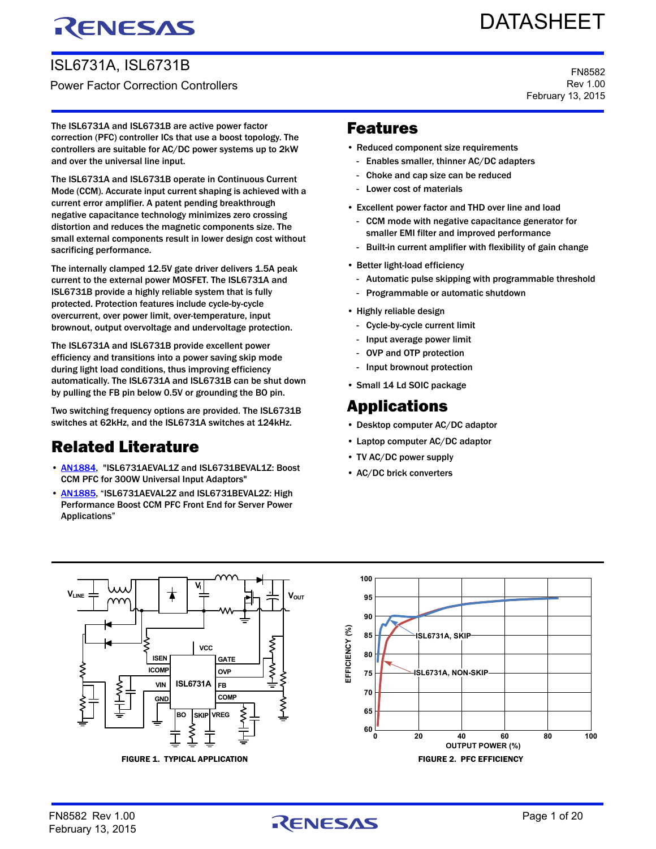# RENESAS

# ISL6731A, ISL6731B Power Factor Correction Controllers

# DATASHEET

FN8582 Rev 1.00 February 13, 2015

The ISL6731A and ISL6731B are active power factor correction (PFC) controller ICs that use a boost topology. The controllers are suitable for AC/DC power systems up to 2kW and over the universal line input.

The ISL6731A and ISL6731B operate in Continuous Current Mode (CCM). Accurate input current shaping is achieved with a current error amplifier. A patent pending breakthrough negative capacitance technology minimizes zero crossing distortion and reduces the magnetic components size. The small external components result in lower design cost without sacrificing performance.

The internally clamped 12.5V gate driver delivers 1.5A peak current to the external power MOSFET. The ISL6731A and ISL6731B provide a highly reliable system that is fully protected. Protection features include cycle-by-cycle overcurrent, over power limit, over-temperature, input brownout, output overvoltage and undervoltage protection.

The ISL6731A and ISL6731B provide excellent power efficiency and transitions into a power saving skip mode during light load conditions, thus improving efficiency automatically. The ISL6731A and ISL6731B can be shut down by pulling the FB pin below 0.5V or grounding the BO pin.

Two switching frequency options are provided. The ISL6731B switches at 62kHz, and the ISL6731A switches at 124kHz.

# Related Literature

- [AN1884](http://www.intersil.com/content/dam/Intersil/documents/an18/an1884.pdf), "ISL6731AEVAL1Z and ISL6731BEVAL1Z: Boost CCM PFC for 300W Universal Input Adaptors"
- [AN1885](http://www.intersil.com/content/dam/Intersil/documents/an18/an1885.pdf), "ISL6731AEVAL2Z and ISL6731BEVAL2Z: High Performance Boost CCM PFC Front End for Server Power Applications"

# Features

- Reduced component size requirements
	- Enables smaller, thinner AC/DC adapters
		- Choke and cap size can be reduced
	- Lower cost of materials
- Excellent power factor and THD over line and load
	- CCM mode with negative capacitance generator for smaller EMI filter and improved performance
	- Built-in current amplifier with flexibility of gain change
- Better light-load efficiency
	- Automatic pulse skipping with programmable threshold
	- Programmable or automatic shutdown
- Highly reliable design
	- Cycle-by-cycle current limit
	- Input average power limit
	- OVP and OTP protection
	- Input brownout protection
- Small 14 Ld SOIC package

# Applications

- Desktop computer AC/DC adaptor
- Laptop computer AC/DC adaptor
- TV AC/DC power supply
- AC/DC brick converters

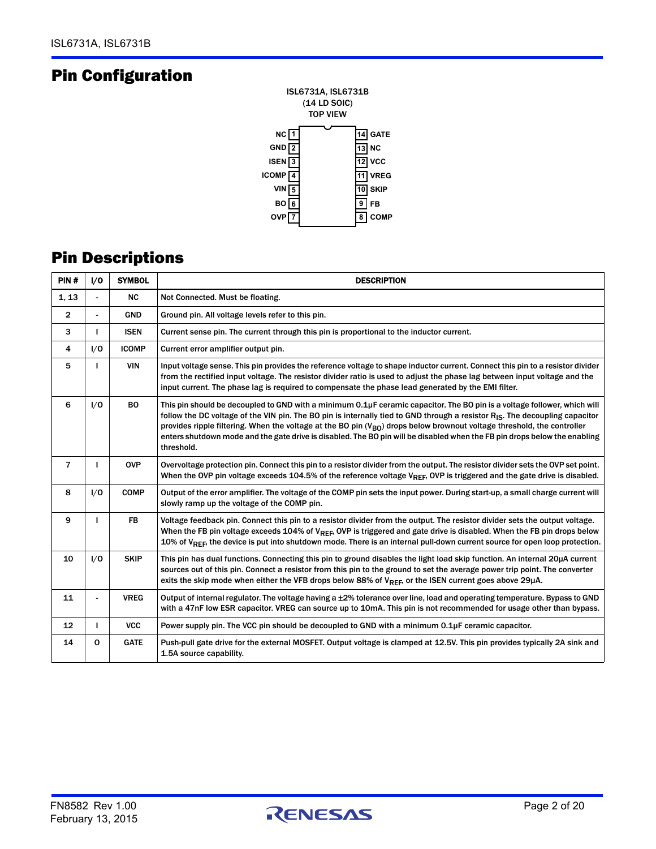# Pin Configuration



# Pin Descriptions

| PIN#           | 1/0            | <b>SYMBOL</b> | <b>DESCRIPTION</b>                                                                                                                                                                                                                                                                                                                                                                                                                                                                                                                        |
|----------------|----------------|---------------|-------------------------------------------------------------------------------------------------------------------------------------------------------------------------------------------------------------------------------------------------------------------------------------------------------------------------------------------------------------------------------------------------------------------------------------------------------------------------------------------------------------------------------------------|
| 1, 13          |                | <b>NC</b>     | Not Connected. Must be floating.                                                                                                                                                                                                                                                                                                                                                                                                                                                                                                          |
| $\overline{2}$ | $\blacksquare$ | <b>GND</b>    | Ground pin. All voltage levels refer to this pin.                                                                                                                                                                                                                                                                                                                                                                                                                                                                                         |
| 3              |                | <b>ISEN</b>   | Current sense pin. The current through this pin is proportional to the inductor current.                                                                                                                                                                                                                                                                                                                                                                                                                                                  |
| 4              | 1/0            | <b>ICOMP</b>  | Current error amplifier output pin.                                                                                                                                                                                                                                                                                                                                                                                                                                                                                                       |
| 5              |                | VIN           | Input voltage sense. This pin provides the reference voltage to shape inductor current. Connect this pin to a resistor divider<br>from the rectified input voltage. The resistor divider ratio is used to adjust the phase lag between input voltage and the<br>input current. The phase lag is required to compensate the phase lead generated by the EMI filter.                                                                                                                                                                        |
| 6              | 1/0            | <b>BO</b>     | This pin should be decoupled to GND with a minimum 0.1µF ceramic capacitor. The BO pin is a voltage follower, which will<br>follow the DC voltage of the VIN pin. The BO pin is internally tied to GND through a resistor $R_{IS}$ . The decoupling capacitor<br>provides ripple filtering. When the voltage at the BO pin ( $V_{BO}$ ) drops below brownout voltage threshold, the controller<br>enters shutdown mode and the gate drive is disabled. The BO pin will be disabled when the FB pin drops below the enabling<br>threshold. |
| $\overline{7}$ |                | <b>OVP</b>    | Overvoltage protection pin. Connect this pin to a resistor divider from the output. The resistor divider sets the OVP set point.<br>When the OVP pin voltage exceeds 104.5% of the reference voltage V <sub>RFF</sub> , OVP is triggered and the gate drive is disabled.                                                                                                                                                                                                                                                                  |
| 8              | 1/0            | <b>COMP</b>   | Output of the error amplifier. The voltage of the COMP pin sets the input power. During start-up, a small charge current will<br>slowly ramp up the voltage of the COMP pin.                                                                                                                                                                                                                                                                                                                                                              |
| 9              |                | <b>FB</b>     | Voltage feedback pin. Connect this pin to a resistor divider from the output. The resistor divider sets the output voltage.<br>When the FB pin voltage exceeds 104% of V <sub>REF</sub> , OVP is triggered and gate drive is disabled. When the FB pin drops below<br>10% of V <sub>REF</sub> , the device is put into shutdown mode. There is an internal pull-down current source for open loop protection.                                                                                                                             |
| 10             | 1/0            | <b>SKIP</b>   | This pin has dual functions. Connecting this pin to ground disables the light load skip function. An internal 20µA current<br>sources out of this pin. Connect a resistor from this pin to the ground to set the average power trip point. The converter<br>exits the skip mode when either the VFB drops below 88% of $V_{REF}$ , or the ISEN current goes above 29µA.                                                                                                                                                                   |
| 11             |                | <b>VREG</b>   | Output of internal regulator. The voltage having a ±2% tolerance over line, load and operating temperature. Bypass to GND<br>with a 47nF low ESR capacitor. VREG can source up to 10mA. This pin is not recommended for usage other than bypass.                                                                                                                                                                                                                                                                                          |
| 12             | г              | <b>VCC</b>    | Power supply pin. The VCC pin should be decoupled to GND with a minimum 0.1µF ceramic capacitor.                                                                                                                                                                                                                                                                                                                                                                                                                                          |
| 14             | $\mathbf 0$    | <b>GATE</b>   | Push-pull gate drive for the external MOSFET. Output voltage is clamped at 12.5V. This pin provides typically 2A sink and<br>1.5A source capability.                                                                                                                                                                                                                                                                                                                                                                                      |

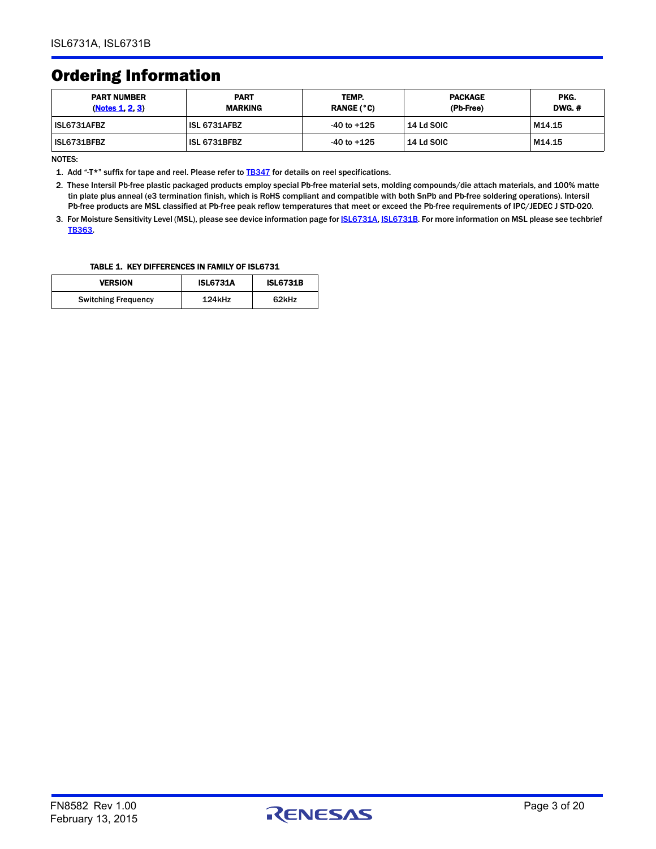# Ordering Information

| <b>PART NUMBER</b><br>(Notes 1, 2, 3) | <b>PART</b><br><b>MARKING</b> | TEMP.<br><b>RANGE (°C)</b> | <b>PACKAGE</b><br>(Pb-Free) | PKG.<br><b>DWG. #</b> |
|---------------------------------------|-------------------------------|----------------------------|-----------------------------|-----------------------|
| ISL6731AFBZ                           | ISL 6731AFBZ                  | $-40$ to $+125$            | 14 Ld SOIC                  | M14.15                |
| ISL6731BFBZ                           | ISL 6731BFBZ                  | $-40$ to $+125$            | <b>14 Ld SOIC</b>           | M14.15                |

NOTES:

<span id="page-2-0"></span>1. Add "-T\*" suffix for tape and reel. Please refer to **[TB347](http://www.intersil.com/data/tb/tb347.pdf)** for details on reel specifications.

<span id="page-2-1"></span>2. These Intersil Pb-free plastic packaged products employ special Pb-free material sets, molding compounds/die attach materials, and 100% matte tin plate plus anneal (e3 termination finish, which is RoHS compliant and compatible with both SnPb and Pb-free soldering operations). Intersil Pb-free products are MSL classified at Pb-free peak reflow temperatures that meet or exceed the Pb-free requirements of IPC/JEDEC J STD-020.

<span id="page-2-2"></span>3. For Moisture Sensitivity Level (MSL), please see device information page for [ISL6731A](http://www.intersil.com/products/ISL6731A#packaging), [ISL6731B](http://www.intersil.com/products/ISL6731B#packaging). For more information on MSL please see techbrief [TB363](http://www.intersil.com/data/tb/tb363.pdf).

#### TABLE 1. KEY DIFFERENCES IN FAMILY OF ISL6731

| <b>VERSION</b>             | <b>ISL6731A</b> | <b>ISL6731B</b> |
|----------------------------|-----------------|-----------------|
| <b>Switching Frequency</b> | 124kHz          | 62kHz           |

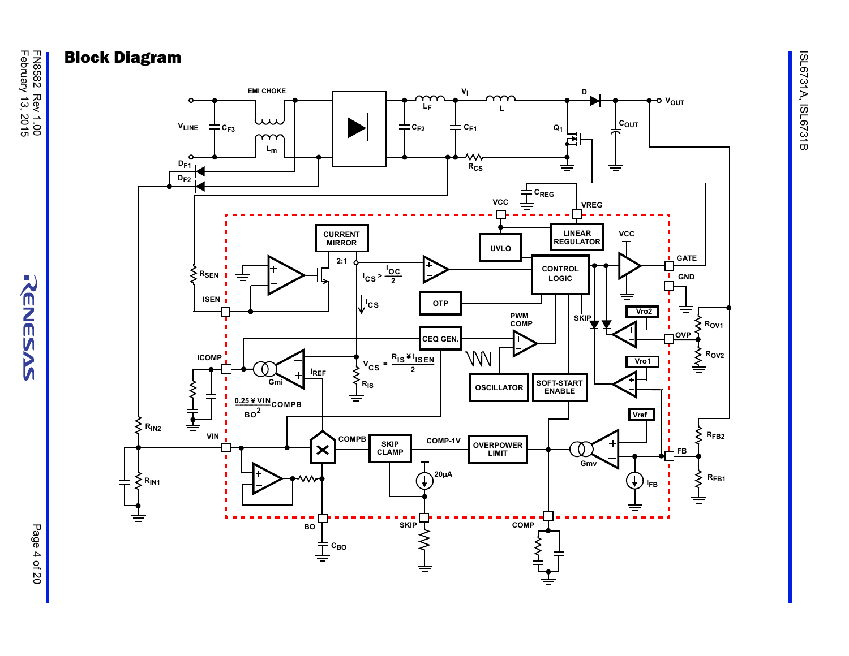

FN8582 Rev 1.00<br>February 13, 2015 February 13, 2015 FN8582 Rev 1.00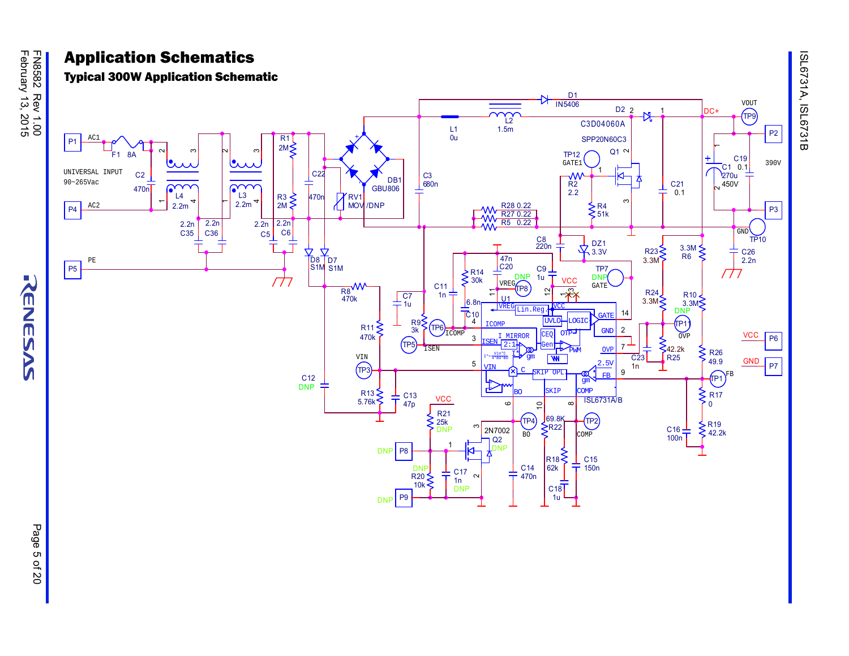KENESAS

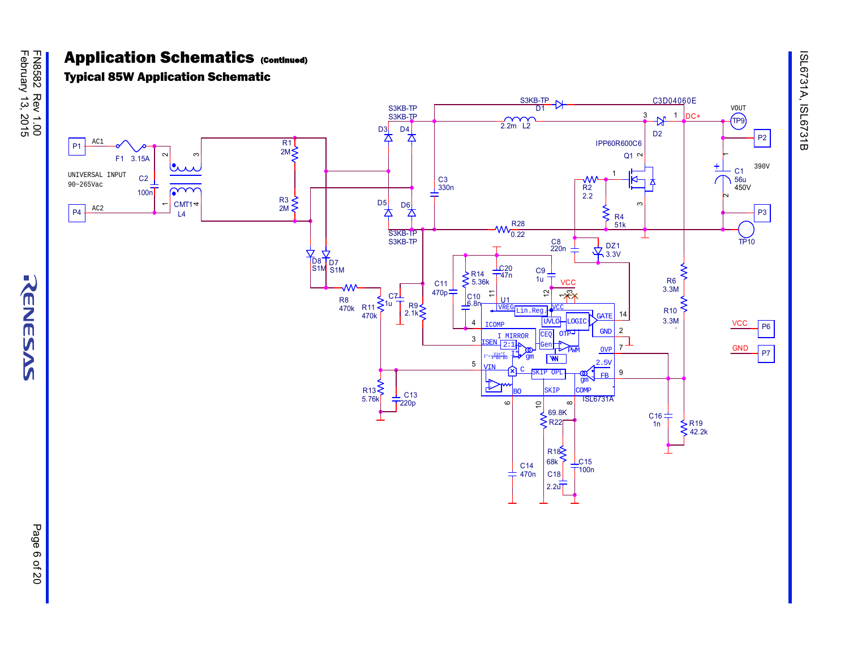KENESAS

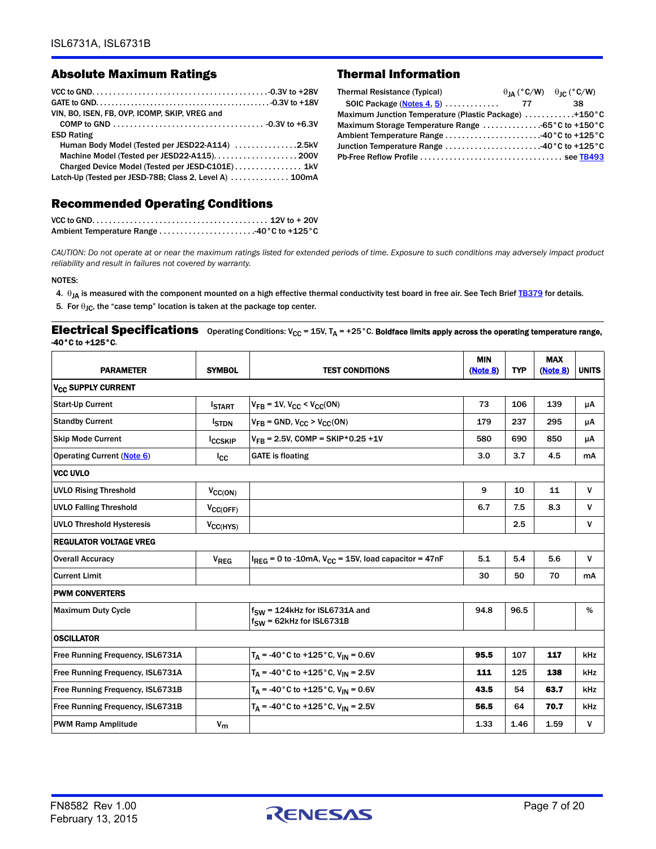## Absolute Maximum Ratings Thermal Information

| VIN, BO. ISEN, FB. OVP. ICOMP. SKIP, VREG and           |  |
|---------------------------------------------------------|--|
|                                                         |  |
| <b>ESD Rating</b>                                       |  |
| Human Body Model (Tested per JESD22-A114) 2.5kV         |  |
|                                                         |  |
| Charged Device Model (Tested per JESD-C101E) 1kV        |  |
| Latch-Up (Tested per JESD-78B; Class 2, Level A)  100mA |  |

### <span id="page-6-3"></span>Recommended Operating Conditions

| <b>Thermal Resistance (Typical)</b>                    | $\theta_{IA}$ (°C/W) $\theta_{IC}$ (°C/W) |    |
|--------------------------------------------------------|-------------------------------------------|----|
|                                                        |                                           | 38 |
| Maximum Junction Temperature (Plastic Package) +150 °C |                                           |    |
|                                                        |                                           |    |
| Ambient Temperature Range 40°C to +125°C               |                                           |    |
| Junction Temperature Range 40°C to +125°C              |                                           |    |
|                                                        |                                           |    |
|                                                        |                                           |    |

*CAUTION: Do not operate at or near the maximum ratings listed for extended periods of time. Exposure to such conditions may adversely impact product reliability and result in failures not covered by warranty.*

#### NOTES:

- <span id="page-6-1"></span>4.  $\theta_{JA}$  is measured with the component mounted on a high effective thermal conductivity test board in free air. See Tech Brief [TB379](http://www.intersil.com/data/tb/tb379.pdf) for details.
- <span id="page-6-0"></span>5. For  $\theta_{\text{JC}}$ , the "case temp" location is taken at the package top center.

#### <span id="page-6-2"></span>**Electrical Specifications** Operating Conditions: V<sub>CC</sub> = 15V, T<sub>A</sub> = +25°C. Boldface limits apply across the operating temperature range, -40°C to +125°C.

| <b>PARAMETER</b>                     | <b>SYMBOL</b>  | <b>TEST CONDITIONS</b>                                              | <b>MIN</b><br>(Note 8) | <b>TYP</b> | <b>MAX</b><br>(Note 8) | <b>UNITS</b> |
|--------------------------------------|----------------|---------------------------------------------------------------------|------------------------|------------|------------------------|--------------|
| <b>V<sub>CC</sub> SUPPLY CURRENT</b> |                |                                                                     |                        |            |                        |              |
| <b>Start-Up Current</b>              | <b>ISTART</b>  | $V_{FR}$ = 1V, $V_{CC}$ < $V_{CC}$ (ON)                             | 73                     | 106        | 139                    | μA           |
| <b>Standby Current</b>               | <b>STDN</b>    | $V_{FB}$ = GND, $V_{CC}$ > $V_{CC}$ (ON)                            | 179                    | 237        | 295                    | μA           |
| <b>Skip Mode Current</b>             | <b>ICCSKIP</b> | $V_{FR}$ = 2.5V, COMP = SKIP*0.25 +1V                               | 580                    | 690        | 850                    | μA           |
| Operating Current (Note 6)           | $_{\rm lc}$    | <b>GATE</b> is floating                                             | 3.0                    | 3.7        | 4.5                    | mA           |
| <b>VCC UVLO</b>                      |                |                                                                     |                        |            |                        |              |
| <b>UVLO Rising Threshold</b>         | $V_{CC(ON)}$   |                                                                     | 9                      | 10         | 11                     | $\mathsf{V}$ |
| <b>UVLO Falling Threshold</b>        | $V_{CC(OFF)}$  |                                                                     | 6.7                    | 7.5        | 8.3                    | $\mathsf{V}$ |
| <b>UVLO Threshold Hysteresis</b>     | $V_{CC(HYS)}$  |                                                                     |                        | 2.5        |                        | $\mathsf{V}$ |
| <b>REGULATOR VOLTAGE VREG</b>        |                |                                                                     |                        |            |                        |              |
| <b>Overall Accuracy</b>              | $V_{REG}$      | $I_{REG}$ = 0 to -10mA, $V_{CC}$ = 15V, load capacitor = 47nF       | 5.1                    | 5.4        | 5.6                    | $\mathsf{V}$ |
| <b>Current Limit</b>                 |                |                                                                     | 30                     | 50         | 70                     | mA           |
| <b>PWM CONVERTERS</b>                |                |                                                                     |                        |            |                        |              |
| <b>Maximum Duty Cycle</b>            |                | $f_{SW}$ = 124kHz for ISL6731A and<br>$f_{SW}$ = 62kHz for ISL6731B | 94.8                   | 96.5       |                        | %            |
| <b>OSCILLATOR</b>                    |                |                                                                     |                        |            |                        |              |
| Free Running Frequency, ISL6731A     |                | $T_A = -40$ °C to +125 °C, $V_{IN} = 0.6V$                          | 95.5                   | 107        | 117                    | kHz          |
| Free Running Frequency, ISL6731A     |                | $T_A = -40$ °C to +125°C, V <sub>IN</sub> = 2.5V                    | 111                    | 125        | 138                    | <b>kHz</b>   |
| Free Running Frequency, ISL6731B     |                | $T_A = -40$ °C to +125°C, V <sub>IN</sub> = 0.6V                    | 43.5                   | 54         | 63.7                   | kHz          |
| Free Running Frequency, ISL6731B     |                | $T_A = -40$ °C to +125 °C, V <sub>IN</sub> = 2.5V                   | 56.5                   | 64         | 70.7                   | kHz          |
| <b>PWM Ramp Amplitude</b>            | $V_{\rm m}$    |                                                                     | 1.33                   | 1.46       | 1.59                   | v            |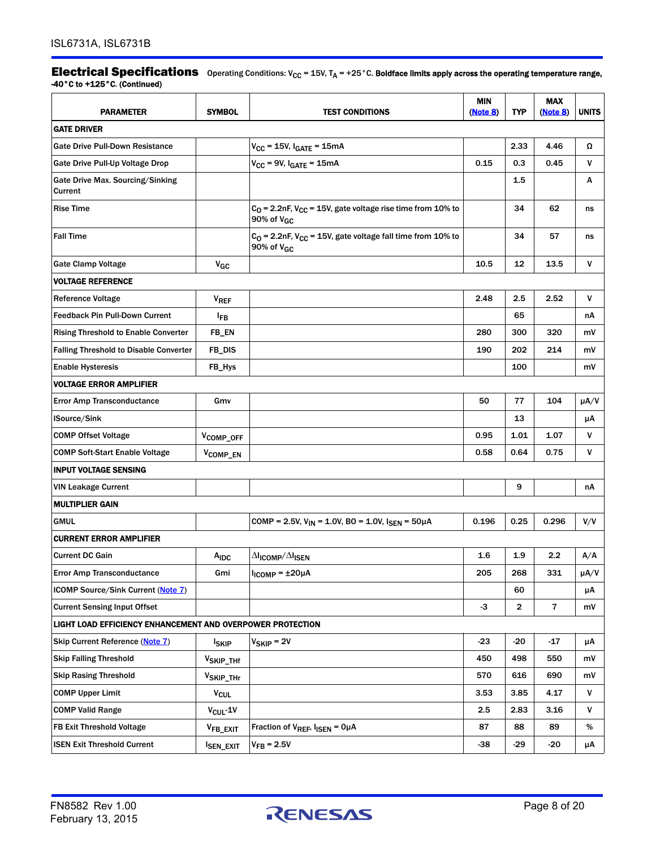**Electrical Specifications** Operating Conditions: V<sub>CC</sub> = 15V, T<sub>A</sub> = +25°C. Boldface limits apply across the operating temperature range, -40°C to +125°C. (Continued)

| <b>PARAMETER</b>                                           | <b>SYMBOL</b>          | <b>TEST CONDITIONS</b>                                                               | <b>MIN</b><br>(Note 8) | <b>TYP</b> | <b>MAX</b><br>(Note 8)  | <b>UNITS</b> |
|------------------------------------------------------------|------------------------|--------------------------------------------------------------------------------------|------------------------|------------|-------------------------|--------------|
| <b>GATE DRIVER</b>                                         |                        |                                                                                      |                        |            |                         |              |
| Gate Drive Pull-Down Resistance                            |                        | $V_{CC}$ = 15V, $I_{GATE}$ = 15mA                                                    |                        | 2.33       | 4.46                    | Ω            |
| Gate Drive Pull-Up Voltage Drop                            |                        | $V_{CC}$ = 9V, $I_{GATE}$ = 15mA                                                     | 0.15                   | 0.3        | 0.45                    | V            |
| Gate Drive Max. Sourcing/Sinking<br>Current                |                        |                                                                                      |                        | 1.5        |                         | А            |
| <b>Rise Time</b>                                           |                        | $C_0$ = 2.2nF, $V_{CC}$ = 15V, gate voltage rise time from 10% to<br>90% of $V_{GC}$ |                        | 34         | 62                      | ns           |
| <b>Fall Time</b>                                           |                        | $C_0$ = 2.2nF, $V_{CC}$ = 15V, gate voltage fall time from 10% to<br>90% of $V_{GC}$ |                        | 34         | 57                      | ns           |
| <b>Gate Clamp Voltage</b>                                  | $V_{GC}$               |                                                                                      | 10.5                   | 12         | 13.5                    | ٧            |
| <b>VOLTAGE REFERENCE</b>                                   |                        |                                                                                      |                        |            |                         |              |
| <b>Reference Voltage</b>                                   | $V_{REF}$              |                                                                                      | 2.48                   | 2.5        | 2.52                    | v            |
| <b>Feedback Pin Pull-Down Current</b>                      | <b>IFB</b>             |                                                                                      |                        | 65         |                         | nA           |
| <b>Rising Threshold to Enable Converter</b>                | FB_EN                  |                                                                                      | 280                    | 300        | 320                     | m۷           |
| <b>Falling Threshold to Disable Converter</b>              | FB_DIS                 |                                                                                      | 190                    | 202        | 214                     | mV           |
| <b>Enable Hysteresis</b>                                   | FB_Hys                 |                                                                                      |                        | 100        |                         | m۷           |
| <b>VOLTAGE ERROR AMPLIFIER</b>                             |                        |                                                                                      |                        |            |                         |              |
| <b>Error Amp Transconductance</b>                          | Gmv                    |                                                                                      | 50                     | 77         | 104                     | $\mu A/V$    |
| <b>ISource/Sink</b>                                        |                        |                                                                                      |                        | 13         |                         | μA           |
| <b>COMP Offset Voltage</b>                                 | VCOMP_OFF              |                                                                                      | 0.95                   | 1.01       | 1.07                    | v            |
| <b>COMP Soft-Start Enable Voltage</b>                      | V <sub>COMP_EN</sub>   |                                                                                      | 0.58                   | 0.64       | 0.75                    | ۷            |
| <b>INPUT VOLTAGE SENSING</b>                               |                        |                                                                                      |                        |            |                         |              |
| <b>VIN Leakage Current</b>                                 |                        |                                                                                      |                        | 9          |                         | nА           |
| <b>MULTIPLIER GAIN</b>                                     |                        |                                                                                      |                        |            |                         |              |
| <b>GMUL</b>                                                |                        | COMP = 2.5V, $V_{IN}$ = 1.0V, BO = 1.0V, $I_{SEN}$ = 50µA                            | 0.196                  | 0.25       | 0.296                   | V/V          |
| <b>CURRENT ERROR AMPLIFIER</b>                             |                        |                                                                                      |                        |            |                         |              |
| <b>Current DC Gain</b>                                     | A <sub>IDC</sub>       | $\Delta I_{\text{ICOMP}}/\Delta I_{\text{ISEN}}$                                     | 1.6                    | 1.9        | $2.2\phantom{0}$        | A/A          |
| <b>Error Amp Transconductance</b>                          | Gmi                    | $I_{ICOMP} = \pm 20 \mu A$                                                           | 205                    | 268        | 331                     | $\mu A/V$    |
| ICOMP Source/Sink Current (Note 7)                         |                        |                                                                                      |                        | 60         |                         | μA           |
| <b>Current Sensing Input Offset</b>                        |                        |                                                                                      | $-3$                   | 2          | $\overline{\mathbf{r}}$ | mV           |
| LIGHT LOAD EFFICIENCY ENHANCEMENT AND OVERPOWER PROTECTION |                        |                                                                                      |                        |            |                         |              |
| Skip Current Reference (Note 7)                            | <b>ISKIP</b>           | $V_{SKIP} = 2V$                                                                      | $-23$                  | $-20$      | $-17$                   | μA           |
| <b>Skip Falling Threshold</b>                              | V <sub>SKIP_THf</sub>  |                                                                                      | 450                    | 498        | 550                     | mV           |
| <b>Skip Rasing Threshold</b>                               | V <sub>SKIP_THr</sub>  |                                                                                      | 570                    | 616        | 690                     | mV           |
| <b>COMP Upper Limit</b>                                    | <b>V<sub>CUL</sub></b> |                                                                                      | 3.53                   | 3.85       | 4.17                    | V            |
| <b>COMP Valid Range</b>                                    | $V_{\text{CUL}}$ -1V   |                                                                                      | 2.5                    | 2.83       | 3.16                    | ٧            |
| FB Exit Threshold Voltage                                  | V <sub>FB_EXIT</sub>   | Fraction of V <sub>REF</sub> , I <sub>ISEN</sub> = OµA                               | 87                     | 88         | 89                      | %            |
| <b>ISEN Exit Threshold Current</b>                         | <b>ISEN_EXIT</b>       | $V_{FB} = 2.5V$                                                                      | -38                    | $-29$      | $-20$                   | μA           |

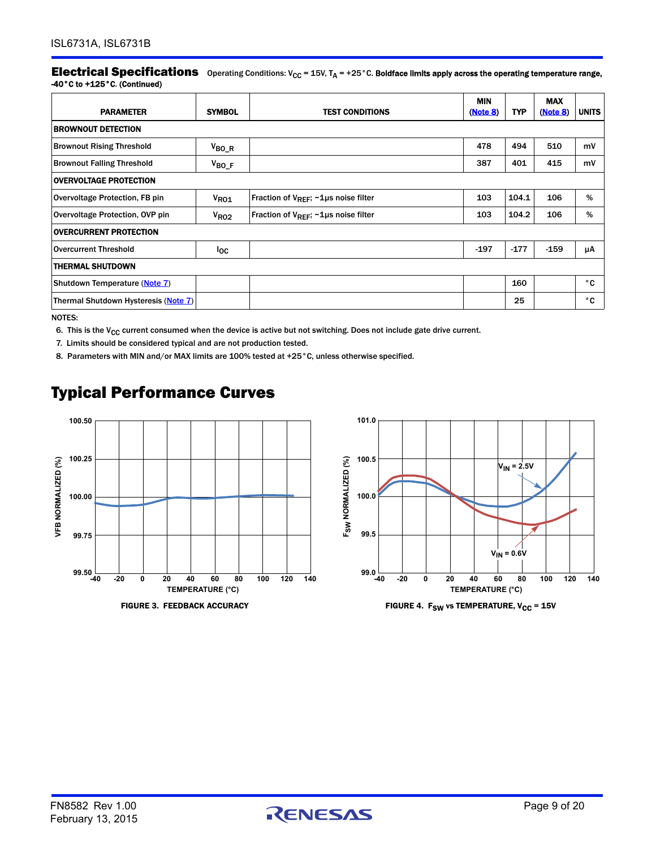**Electrical Specifications** Operating Conditions:  $V_{CC}$  = 15V,  $T_A$  = +25°C. Boldface limits apply across the operating temperature range, -40°C to +125°C. (Continued)

| <b>PARAMETER</b>                     | <b>SYMBOL</b>   | <b>TEST CONDITIONS</b>                                 | <b>MIN</b><br>(Note 8) | <b>TYP</b> | <b>MAX</b><br>(Note 8) | <b>UNITS</b> |
|--------------------------------------|-----------------|--------------------------------------------------------|------------------------|------------|------------------------|--------------|
| <b>BROWNOUT DETECTION</b>            |                 |                                                        |                        |            |                        |              |
| <b>Brownout Rising Threshold</b>     | $V_{BO_R}$      |                                                        | 478                    | 494        | 510                    | mV           |
| <b>Brownout Falling Threshold</b>    | $V_{BO_F}$      |                                                        | 387                    | 401        | 415                    | mV           |
| <b>OVERVOLTAGE PROTECTION</b>        |                 |                                                        |                        |            |                        |              |
| Overvoltage Protection, FB pin       | $V_{RO1}$       | Fraction of $V_{REF}$ ; $\sim$ 1µs noise filter        | 103                    | 104.1      | 106                    | %            |
| Overvoltage Protection, OVP pin      | $V_{RO2}$       | Fraction of $V_{\text{REF}}$ ; $\sim$ 1µs noise filter | 103                    | 104.2      | 106                    | %            |
| <b>OVERCURRENT PROTECTION</b>        |                 |                                                        |                        |            |                        |              |
| <b>Overcurrent Threshold</b>         | <sup>l</sup> oc |                                                        | $-197$                 | $-177$     | $-159$                 | μA           |
| <b>THERMAL SHUTDOWN</b>              |                 |                                                        |                        |            |                        |              |
| Shutdown Temperature (Note 7)        |                 |                                                        |                        | 160        |                        | $^{\circ}$ C |
| Thermal Shutdown Hysteresis (Note 7) |                 |                                                        |                        | 25         |                        | ۰c           |

NOTES:

<span id="page-8-0"></span>6. This is the  $V_{CC}$  current consumed when the device is active but not switching. Does not include gate drive current.

<span id="page-8-2"></span>7. Limits should be considered typical and are not production tested.

<span id="page-8-1"></span>8. Parameters with MIN and/or MAX limits are 100% tested at +25°C, unless otherwise specified.

# Typical Performance Curves





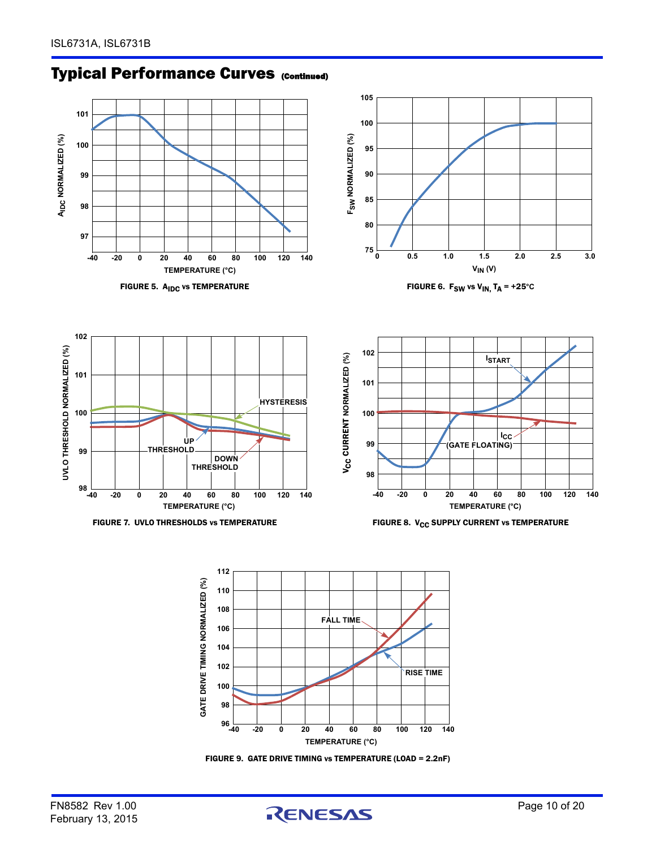# **Typical Performance Curves (Continued)**

<span id="page-9-0"></span>



FIGURE 9. GATE DRIVE TIMING vs TEMPERATURE (LOAD = 2.2nF)

**96** 

**98 100 102** 

**TEMPERATURE (°C)**

**-40 -20 0 20 40 60 80 100 120 140** 

**RISE TIME**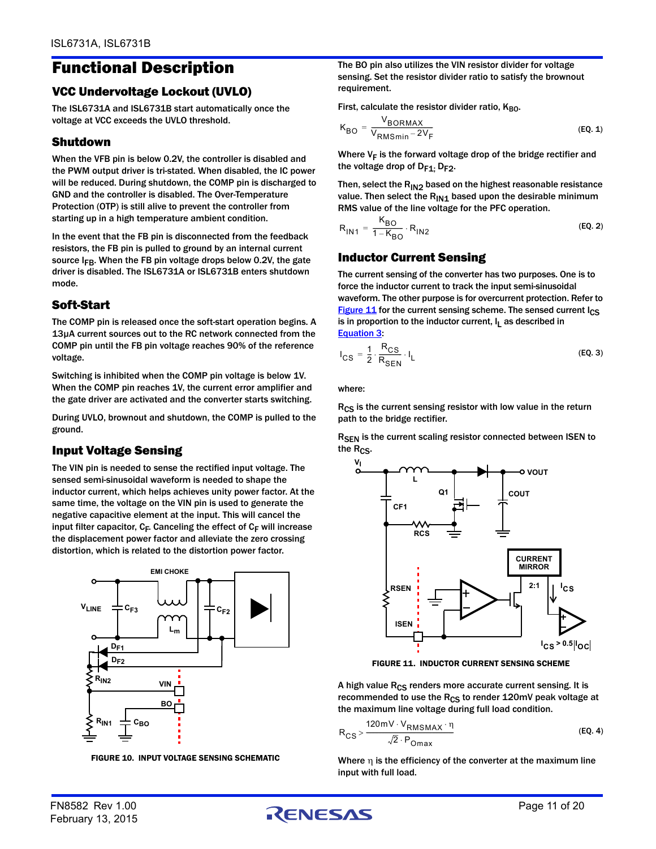# Functional Description

## VCC Undervoltage Lockout (UVLO)

The ISL6731A and ISL6731B start automatically once the voltage at VCC exceeds the UVLO threshold.

## Shutdown

When the VFB pin is below 0.2V, the controller is disabled and the PWM output driver is tri-stated. When disabled, the IC power will be reduced. During shutdown, the COMP pin is discharged to GND and the controller is disabled. The Over-Temperature Protection (OTP) is still alive to prevent the controller from starting up in a high temperature ambient condition.

In the event that the FB pin is disconnected from the feedback resistors, the FB pin is pulled to ground by an internal current source  $I_{FR}$ . When the FB pin voltage drops below 0.2V, the gate driver is disabled. The ISL6731A or ISL6731B enters shutdown mode.

## Soft-Start

The COMP pin is released once the soft-start operation begins. A 13µA current sources out to the RC network connected from the COMP pin until the FB pin voltage reaches 90% of the reference voltage.

Switching is inhibited when the COMP pin voltage is below 1V. When the COMP pin reaches 1V, the current error amplifier and the gate driver are activated and the converter starts switching.

During UVLO, brownout and shutdown, the COMP is pulled to the ground.

## Input Voltage Sensing

The VIN pin is needed to sense the rectified input voltage. The sensed semi-sinusoidal waveform is needed to shape the inductor current, which helps achieves unity power factor. At the same time, the voltage on the VIN pin is used to generate the negative capacitive element at the input. This will cancel the input filter capacitor,  $C_F$ . Canceling the effect of  $C_F$  will increase the displacement power factor and alleviate the zero crossing distortion, which is related to the distortion power factor.



FIGURE 10. INPUT VOLTAGE SENSING SCHEMATIC

The BO pin also utilizes the VIN resistor divider for voltage sensing. Set the resistor divider ratio to satisfy the brownout requirement.

First, calculate the resistor divider ratio,  $K_{BO}$ .

<span id="page-10-3"></span>
$$
K_{BO} = \frac{V_{BORMAX}}{V_{RMSmin} - 2V_F}
$$
 (EQ. 1)

Where  $V_F$  is the forward voltage drop of the bridge rectifier and the voltage drop of  $D_{F1}$ .  $D_{F2}$ .

Then, select the  $R_{1N2}$  based on the highest reasonable resistance value. Then select the  $R_{IN1}$  based upon the desirable minimum RMS value of the line voltage for the PFC operation.

<span id="page-10-4"></span>
$$
R_{1N1} = \frac{K_{BO}}{1 - K_{BO}} \cdot R_{1N2}
$$
 (EQ. 2)

## Inductor Current Sensing

The current sensing of the converter has two purposes. One is to force the inductor current to track the input semi-sinusoidal waveform. The other purpose is for overcurrent protection. Refer to [Figure 11](#page-10-0) for the current sensing scheme. The sensed current  $\log$ is in proportion to the inductor current,  $I_L$  as described in [Equation 3](#page-10-1):

<span id="page-10-1"></span>
$$
I_{CS} = \frac{1}{2} \cdot \frac{R_{CS}}{R_{SEN}} \cdot I_L
$$
 (EQ.3)

where:

R<sub>CS</sub> is the current sensing resistor with low value in the return path to the bridge rectifier.

R<sub>SEN</sub> is the current scaling resistor connected between ISEN to the R<sub>CS</sub>.



<span id="page-10-2"></span>FIGURE 11. INDUCTOR CURRENT SENSING SCHEME

<span id="page-10-0"></span>A high value  $R_{CS}$  renders more accurate current sensing. It is recommended to use the  $R_{CS}$  to render 120mV peak voltage at the maximum line voltage during full load condition.

$$
R_{CS} > \frac{120mV \cdot V_{RMSMAX} \cdot \eta}{\sqrt{2} \cdot P_{Omax}}
$$
 (EQ. 4)

Where  $\eta$  is the efficiency of the converter at the maximum line input with full load.

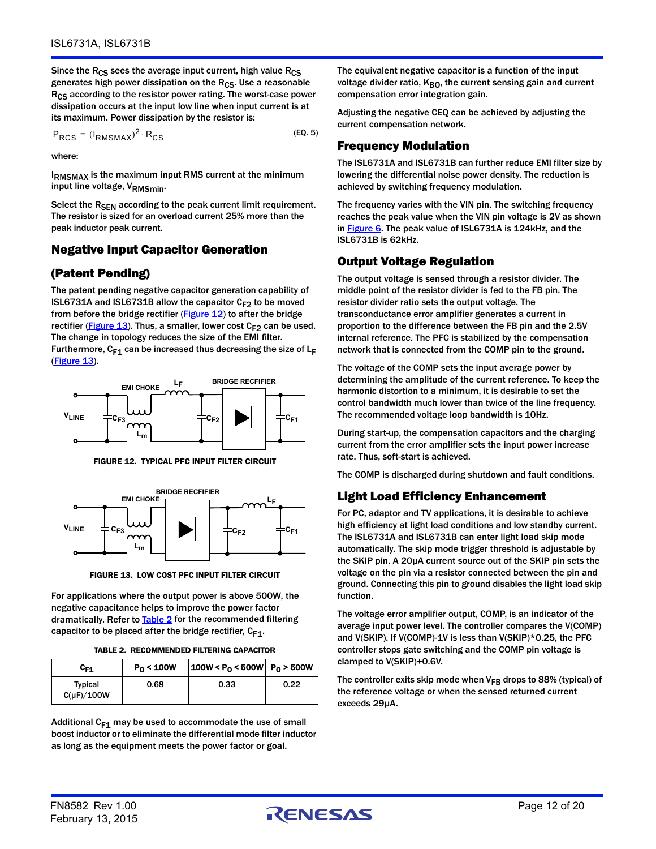Since the R<sub>CS</sub> sees the average input current, high value R<sub>CS</sub> generates high power dissipation on the  $R_{CS}$ . Use a reasonable R<sub>CS</sub> according to the resistor power rating. The worst-case power dissipation occurs at the input low line when input current is at its maximum. Power dissipation by the resistor is:

$$
P_{RCS} = (I_{RMSMAX})^2 \cdot R_{CS}
$$
 (EQ.5)

where:

IRMSMAX is the maximum input RMS current at the minimum input line voltage, V<sub>RMSmin</sub>.

Select the R<sub>SEN</sub> according to the peak current limit requirement. The resistor is sized for an overload current 25% more than the peak inductor peak current.

### Negative Input Capacitor Generation

## (Patent Pending)

The patent pending negative capacitor generation capability of ISL6731A and ISL6731B allow the capacitor  $C_{F2}$  to be moved from before the bridge rectifier ( $Figure 12$ ) to after the bridge rectifier [\(Figure 13](#page-11-2)). Thus, a smaller, lower cost  $C_{F2}$  can be used. The change in topology reduces the size of the EMI filter. Furthermore,  $C_{F1}$  can be increased thus decreasing the size of  $L_F$  $(Figure 13)$  $(Figure 13)$  $(Figure 13)$ .



FIGURE 12. TYPICAL PFC INPUT FILTER CIRCUIT

<span id="page-11-1"></span>

FIGURE 13. LOW COST PFC INPUT FILTER CIRCUIT

<span id="page-11-2"></span>For applications where the output power is above 500W, the negative capacitance helps to improve the power factor dramatically. Refer to **Table 2** for the recommended filtering capacitor to be placed after the bridge rectifier,  $C_{F1}$ .

| TABLE 2. RECOMMENDED FILTERING CAPACITOR |  |
|------------------------------------------|--|
|                                          |  |

<span id="page-11-0"></span>

| C <sub>F1</sub>                   | $P_0 < 100W$ | $ 100W  < P0 < 500W$ $  P0 > 500W$ |      |
|-----------------------------------|--------------|------------------------------------|------|
| <b>Typical</b><br>$C(\mu F)/100W$ | 0.68         | 0.33                               | 0.22 |

Additional  $C_{F1}$  may be used to accommodate the use of small boost inductor or to eliminate the differential mode filter inductor as long as the equipment meets the power factor or goal.

The equivalent negative capacitor is a function of the input voltage divider ratio, K<sub>BO</sub>, the current sensing gain and current compensation error integration gain.

Adjusting the negative CEQ can be achieved by adjusting the current compensation network.

## Frequency Modulation

The ISL6731A and ISL6731B can further reduce EMI filter size by lowering the differential noise power density. The reduction is achieved by switching frequency modulation.

The frequency varies with the VIN pin. The switching frequency reaches the peak value when the VIN pin voltage is 2V as shown in [Figure 6.](#page-9-0) The peak value of ISL6731A is 124kHz, and the ISL6731B is 62kHz.

## Output Voltage Regulation

The output voltage is sensed through a resistor divider. The middle point of the resistor divider is fed to the FB pin. The resistor divider ratio sets the output voltage. The transconductance error amplifier generates a current in proportion to the difference between the FB pin and the 2.5V internal reference. The PFC is stabilized by the compensation network that is connected from the COMP pin to the ground.

The voltage of the COMP sets the input average power by determining the amplitude of the current reference. To keep the harmonic distortion to a minimum, it is desirable to set the control bandwidth much lower than twice of the line frequency. The recommended voltage loop bandwidth is 10Hz.

During start-up, the compensation capacitors and the charging current from the error amplifier sets the input power increase rate. Thus, soft-start is achieved.

The COMP is discharged during shutdown and fault conditions.

### Light Load Efficiency Enhancement

For PC, adaptor and TV applications, it is desirable to achieve high efficiency at light load conditions and low standby current. The ISL6731A and ISL6731B can enter light load skip mode automatically. The skip mode trigger threshold is adjustable by the SKIP pin. A 20µA current source out of the SKIP pin sets the voltage on the pin via a resistor connected between the pin and ground. Connecting this pin to ground disables the light load skip function.

The voltage error amplifier output, COMP, is an indicator of the average input power level. The controller compares the V(COMP) and V(SKIP). If V(COMP)-1V is less than V(SKIP)\*0.25, the PFC controller stops gate switching and the COMP pin voltage is clamped to V(SKIP)+0.6V.

The controller exits skip mode when  $V_{FB}$  drops to 88% (typical) of the reference voltage or when the sensed returned current exceeds 29µA.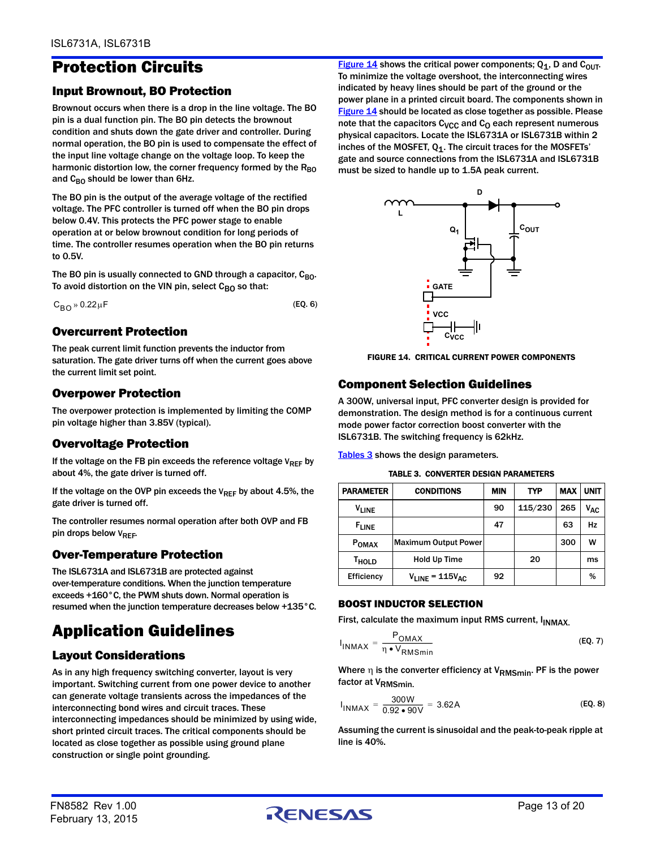# Protection Circuits

## Input Brownout, BO Protection

Brownout occurs when there is a drop in the line voltage. The BO pin is a dual function pin. The BO pin detects the brownout condition and shuts down the gate driver and controller. During normal operation, the BO pin is used to compensate the effect of the input line voltage change on the voltage loop. To keep the harmonic distortion low, the corner frequency formed by the  $R_{BO}$ and  $C_{BO}$  should be lower than 6Hz.

The BO pin is the output of the average voltage of the rectified voltage. The PFC controller is turned off when the BO pin drops below 0.4V. This protects the PFC power stage to enable operation at or below brownout condition for long periods of time. The controller resumes operation when the BO pin returns to 0.5V.

The BO pin is usually connected to GND through a capacitor,  $C_{BO}$ . To avoid distortion on the VIN pin, select  $C_{BO}$  so that:

 $C_{\rm BO}$  » 0.22  $\mu$ F (EQ. 6)

### Overcurrent Protection

The peak current limit function prevents the inductor from saturation. The gate driver turns off when the current goes above the current limit set point.

## Overpower Protection

The overpower protection is implemented by limiting the COMP pin voltage higher than 3.85V (typical).

## Overvoltage Protection

If the voltage on the FB pin exceeds the reference voltage  $V_{REF}$  by about 4%, the gate driver is turned off.

If the voltage on the OVP pin exceeds the  $V_{REF}$  by about 4.5%, the gate driver is turned off.

The controller resumes normal operation after both OVP and FB pin drops below VREF.

## Over-Temperature Protection

The ISL6731A and ISL6731B are protected against over-temperature conditions. When the junction temperature exceeds +160°C, the PWM shuts down. Normal operation is resumed when the junction temperature decreases below +135°C.

# Application Guidelines

## Layout Considerations

As in any high frequency switching converter, layout is very important. Switching current from one power device to another can generate voltage transients across the impedances of the interconnecting bond wires and circuit traces. These interconnecting impedances should be minimized by using wide, short printed circuit traces. The critical components should be located as close together as possible using ground plane construction or single point grounding.

[Figure 14](#page-12-0) shows the critical power components;  $Q_1$ , D and C<sub>OUT</sub>. To minimize the voltage overshoot, the interconnecting wires indicated by heavy lines should be part of the ground or the power plane in a printed circuit board. The components shown in [Figure 14](#page-12-0) should be located as close together as possible. Please note that the capacitors  $C_{VCC}$  and  $C_{O}$  each represent numerous physical capacitors. Locate the ISL6731A or ISL6731B within 2 inches of the MOSFET,  $Q_1$ . The circuit traces for the MOSFETs' gate and source connections from the ISL6731A and ISL6731B must be sized to handle up to 1.5A peak current.



<span id="page-12-0"></span>FIGURE 14. CRITICAL CURRENT POWER COMPONENTS

## Component Selection Guidelines

A 300W, universal input, PFC converter design is provided for demonstration. The design method is for a continuous current mode power factor correction boost converter with the ISL6731B. The switching frequency is 62kHz.

[Tables 3](#page-12-1) shows the design parameters.

TABLE 3. CONVERTER DESIGN PARAMETERS

<span id="page-12-1"></span>

| <b>PARAMETER</b>  | <b>CONDITIONS</b>           | <b>MIN</b> | <b>TYP</b> | <b>MAX</b> | <b>UNIT</b>     |
|-------------------|-----------------------------|------------|------------|------------|-----------------|
| <b>VLINE</b>      |                             | 90         | 115/230    | 265        | V <sub>AC</sub> |
| <b>FLINE</b>      |                             | 47         |            | 63         | Hz              |
| P <sub>OMAX</sub> | <b>Maximum Output Power</b> |            |            | 300        | w               |
| T <sub>HOLD</sub> | Hold Up Time                |            | 20         |            | ms              |
| Efficiency        | $V_{LINE} = 115V_{AC}$      | 92         |            |            | %               |

#### BOOST INDUCTOR SELECTION

First, calculate the maximum input RMS current, I<sub>INMAX</sub>.

$$
I_{INMAX} = \frac{P_{OMAX}}{\eta \bullet V_{RMSmin}}
$$
 (EQ. 7)

Where  $\eta$  is the converter efficiency at V<sub>RMSmin</sub>. PF is the power factor at V<sub>RMSmin</sub>

$$
I_{\text{INMAX}} = \frac{300 \text{W}}{0.92 \cdot 90 \text{V}} = 3.62 \text{A}
$$
 (EQ. 8)

Assuming the current is sinusoidal and the peak-to-peak ripple at line is 40%.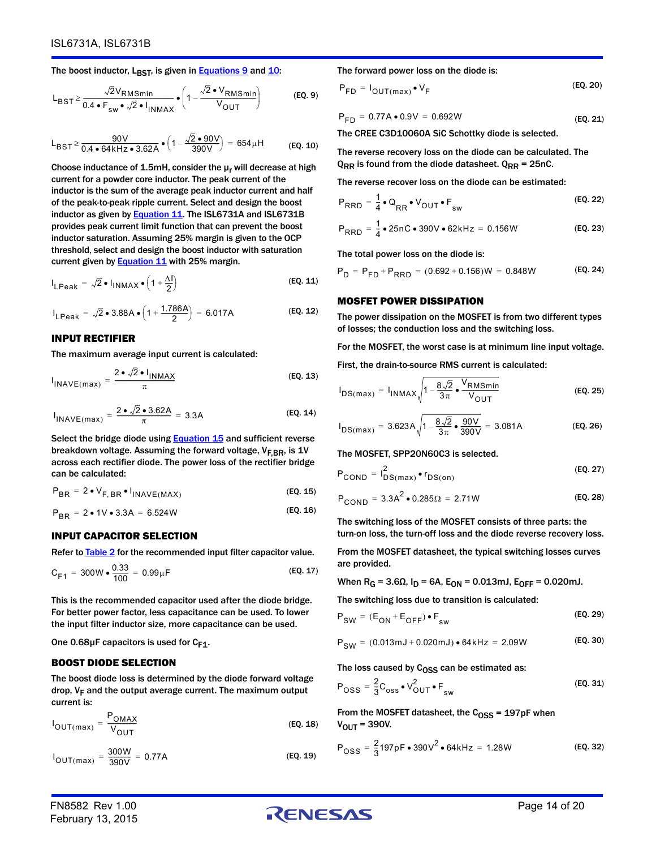The boost inductor,  $L_{\text{BST}}$ , is given in **[Equations 9](#page-13-2)** and  $10$ :

$$
L_{\text{BST}} \ge \frac{\sqrt{2}V_{\text{RMSmin}}}{0.4 \cdot F_{\text{sw}} \cdot \sqrt{2} \cdot I_{\text{INMAX}}} \cdot \left(1 - \frac{\sqrt{2} \cdot V_{\text{RMSmin}}}{V_{\text{OUT}}}\right) \tag{EQ.9}
$$

$$
L_{\text{BST}} \ge \frac{90 \text{V}}{0.4 \cdot 64 \text{kHz} \cdot 3.62 \text{A}} \cdot \left(1 - \frac{\sqrt{2} \cdot 90 \text{V}}{390 \text{V}}\right) = 654 \text{µH}
$$
 (Eq. 10)

Choose inductance of 1.5mH, consider the  $\mu_r$  will decrease at high current for a powder core inductor. The peak current of the inductor is the sum of the average peak inductor current and half of the peak-to-peak ripple current. Select and design the boost inductor as given by **Equation 11.** The ISL6731A and ISL6731B provides peak current limit function that can prevent the boost inductor saturation. Assuming 25% margin is given to the OCP threshold, select and design the boost inductor with saturation current given by **Equation 11** with 25% margin.

$$
I_{\text{LPeak}} = \sqrt{2} \cdot I_{\text{INMAX}} \cdot \left(1 + \frac{\Delta I}{2}\right) \tag{Eq. 11}
$$

$$
I_{\text{LPeak}} = \sqrt{2} \cdot 3.88A \cdot \left(1 + \frac{1.786A}{2}\right) = 6.017A \tag{Eq. 12}
$$

#### INPUT RECTIFIER

The maximum average input current is calculated:

$$
I_{\text{INAVE}(\text{max})} = \frac{2 \cdot \sqrt{2} \cdot I_{\text{INMAX}}}{\pi}
$$
 (EQ. 13)

$$
I_{\text{INAVE}(\text{max})} = \frac{2 \cdot \sqrt{2} \cdot 3.62 \text{A}}{\pi} = 3.3 \text{A}
$$
 (EQ. 14)

Select the bridge diode using [Equation 15](#page-13-1) and sufficient reverse breakdown voltage. Assuming the forward voltage,  $V_{F,BR}$ , is 1V across each rectifier diode. The power loss of the rectifier bridge can be calculated:

$$
P_{BR} = 2 \cdot V_{F, BR} \cdot I_{INAVE(MAX)} \tag{Eq. 15}
$$

$$
P_{BR} = 2 \cdot 1 \cdot 3.3A = 6.524W
$$
 (Eq. 16)

#### INPUT CAPACITOR SELECTION

Refer to **Table 2** for the recommended input filter capacitor value.

$$
C_{F1} = 300W \bullet \frac{0.33}{100} = 0.99 \mu F
$$
 (EQ. 17)

This is the recommended capacitor used after the diode bridge. For better power factor, less capacitance can be used. To lower the input filter inductor size, more capacitance can be used.

#### One  $0.68\mu$ F capacitors is used for C<sub>F1</sub>.

#### BOOST DIODE SELECTION

The boost diode loss is determined by the diode forward voltage drop,  $V_F$  and the output average current. The maximum output current is:

$$
I_{OUT(max)} = \frac{P_{OMAX}}{V_{OUT}}
$$
 (EQ. 18)

$$
I_{OUT(max)} = \frac{300W}{390V} = 0.77A
$$
 (EQ. 19)

The forward power loss on the diode is:

<span id="page-13-2"></span>
$$
P_{FD} = I_{OUT(max)} \bullet V_F
$$
 (EQ. 20)

$$
P_{FD} = 0.77A \bullet 0.9V = 0.692W
$$
 (Eq. 21)

The CREE C3D10060A SiC Schottky diode is selected.

<span id="page-13-3"></span>The reverse recovery loss on the diode can be calculated. The  $Q_{RR}$  is found from the diode datasheet.  $Q_{RR}$  = 25nC.

The reverse recover loss on the diode can be estimated:

$$
P_{\text{RRD}} = \frac{1}{4} \cdot Q_{\text{RR}} \cdot V_{\text{OUT}} \cdot F_{\text{sw}}
$$
 (EQ. 22)

$$
P_{\text{RRD}} = \frac{1}{4} \cdot 25 \text{nC} \cdot 390 \text{V} \cdot 62 \text{kHz} = 0.156 \text{W}
$$
 (EQ. 23)

The total power loss on the diode is:

<span id="page-13-0"></span>
$$
P_D = P_{FD} + P_{RRD} = (0.692 + 0.156)W = 0.848W
$$
 (EQ. 24)

#### MOSFET POWER DISSIPATION

The power dissipation on the MOSFET is from two different types of losses; the conduction loss and the switching loss.

For the MOSFET, the worst case is at minimum line input voltage.

First, the drain-to-source RMS current is calculated:

$$
I_{DS(max)} = I_{INMAX} \sqrt{1 - \frac{8\sqrt{2}}{3\pi} \cdot \frac{V_{RMSmin}}{V_{OUT}}}
$$
 (EQ. 25)

$$
I_{DS(max)} = 3.623A \sqrt{1 - \frac{8\sqrt{2}}{3\pi} \cdot \frac{90V}{390V}} = 3.081A
$$
 (EQ. 26)

The MOSFET, SPP20N60C3 is selected.

$$
P_{\text{COND}} = I_{\text{DS}(\text{max})}^2 \bullet r_{\text{DS}(\text{on})}
$$
 (EQ. 27)

<span id="page-13-1"></span>
$$
P_{\text{COND}} = 3.3A^2 \cdot 0.285\Omega = 2.71W
$$
 (EQ. 28)

The switching loss of the MOSFET consists of three parts: the turn-on loss, the turn-off loss and the diode reverse recovery loss.

From the MOSFET datasheet, the typical switching losses curves are provided.

When R<sub>G</sub> = 3.6Ω, I<sub>D</sub> = 6A, E<sub>ON</sub> = 0.013mJ, E<sub>OFF</sub> = 0.020mJ.

The switching loss due to transition is calculated:

$$
P_{SW} = (E_{ON} + E_{OFF}) \bullet F_{sw}
$$
 (EQ. 29)

$$
P_{SW} = (0.013 \text{mJ} + 0.020 \text{mJ}) \cdot 64 \text{kHz} = 2.09 \text{W}
$$
 (EQ. 30)

The loss caused by  $C<sub>OSS</sub>$  can be estimated as:

$$
P_{\text{OSS}} = \frac{2}{3} C_{\text{OSS}} \cdot V_{\text{OUT}}^2 \cdot F_{\text{sw}}
$$
 (EQ. 31)

From the MOSFET datasheet, the  $C<sub>OSS</sub> = 197pF$  when  $V_{\text{OUT}} = 390V$ .

$$
P_{\rm OSS} = \frac{2}{3}197 \,\text{pF} \cdot 390 \,\text{V}^2 \cdot 64 \,\text{kHz} = 1.28 \,\text{W} \tag{Eq. 32}
$$

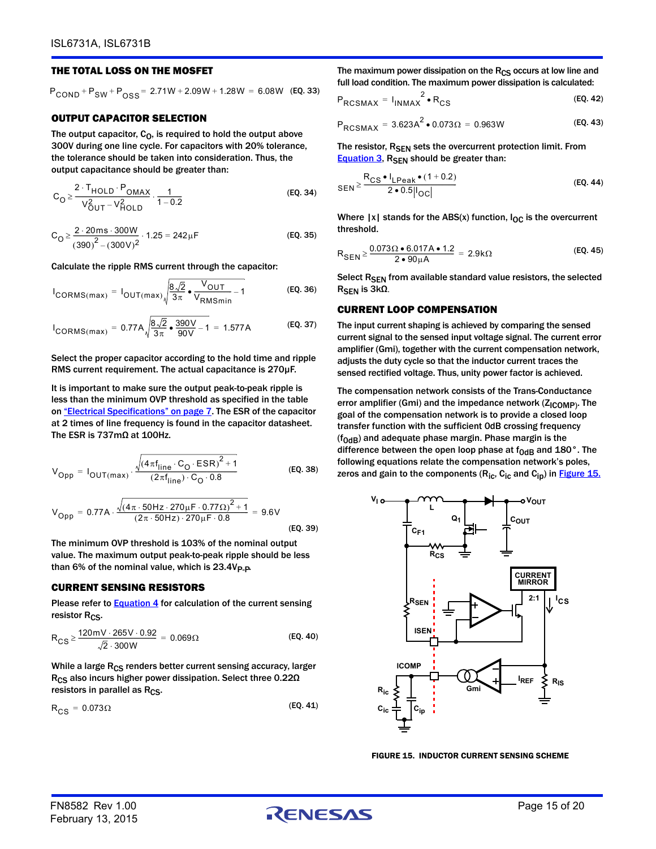#### THE TOTAL LOSS ON THE MOSFET

 $P_{\text{COND}} + P_{\text{SW}} + P_{\text{OSS}} = 2.71W + 2.09W + 1.28W = 6.08W$  (EQ. 33)

#### OUTPUT CAPACITOR SELECTION

The output capacitor,  $C_0$ , is required to hold the output above 300V during one line cycle. For capacitors with 20% tolerance, the tolerance should be taken into consideration. Thus, the output capacitance should be greater than:

$$
C_{O} \ge \frac{2 \cdot T_{HOLD} \cdot P_{OMAX}}{V_{OUT}^{2} - V_{HOLD}^{2}} \cdot \frac{1}{1 - 0.2}
$$
 (EQ. 34)

$$
C_{\text{O}} \ge \frac{2 \cdot 20 \,\text{ms} \cdot 300 \,\text{W}}{(390)^2 - (300 \,\text{V})^2} \cdot 1.25 = 242 \,\text{\mu F}
$$
 (EQ. 35)

Calculate the ripple RMS current through the capacitor:

$$
I_{CORMS(max)} = I_{OUT(max)} \sqrt{\frac{8\sqrt{2}}{3\pi} \cdot \frac{V_{OUT}}{V_{RMSmin}} - 1}
$$
 (EQ. 36)

$$
I_{CORMS(max)} = 0.77A \sqrt{\frac{8\sqrt{2}}{3\pi} \cdot \frac{390V}{90V} - 1} = 1.577A
$$
 (EQ. 37)

Select the proper capacitor according to the hold time and ripple RMS current requirement. The actual capacitance is 270µF.

It is important to make sure the output peak-to-peak ripple is less than the minimum OVP threshold as specified in the table on ["Electrical Specifications" on page 7.](#page-6-2) The ESR of the capacitor at 2 times of line frequency is found in the capacitor datasheet. The ESR is 737mΩ at 100Hz.

$$
V_{\text{Opp}} = I_{\text{OUT}(\text{max})} \cdot \frac{\sqrt{(4\pi f_{\text{line}} \cdot C_{\text{O}} \cdot \text{ESR})^{2} + 1}}{(2\pi f_{\text{line}}) \cdot C_{\text{O}} \cdot 0.8}
$$
 (EQ. 38)

$$
V_{Opp} = 0.77A \cdot \frac{\sqrt{(4\pi \cdot 50Hz \cdot 270\mu F \cdot 0.77\Omega)^{2} + 1}}{(2\pi \cdot 50Hz) \cdot 270\mu F \cdot 0.8} = 9.6V
$$
\n(EQ. 39)

The minimum OVP threshold is 103% of the nominal output value. The maximum output peak-to-peak ripple should be less than 6% of the nominal value, which is  $23.4V_{P-P}$ .

#### CURRENT SENSING RESISTORS

Please refer to **Equation 4** for calculation of the current sensing resistor  $R_{CS}$ .

$$
R_{CS} \ge \frac{120 \, \text{mV} \cdot 265 \, \text{V} \cdot 0.92}{\sqrt{2} \cdot 300 \, \text{W}} = 0.069 \, \Omega \tag{Eq. 40}
$$

While a large  $R_{CS}$  renders better current sensing accuracy, larger R<sub>CS</sub> also incurs higher power dissipation. Select three 0.22Ω resistors in parallel as  $R_{CS}$ .

$$
R_{CS} = 0.073\Omega
$$
 (EQ.41)

The maximum power dissipation on the  $R_{CS}$  occurs at low line and full load condition. The maximum power dissipation is calculated:

$$
P_{\text{RCSMAX}} = I_{\text{INMAX}}^2 \cdot R_{\text{CS}}
$$
 (EQ. 42)

$$
P_{\text{RCSMAX}} = 3.623 \text{A}^2 \cdot 0.073 \Omega = 0.963 \text{W}
$$
 (EQ. 43)

The resistor, R<sub>SEN</sub> sets the overcurrent protection limit. From [Equation 3,](#page-10-1) R<sub>SEN</sub> should be greater than:

$$
_{\text{SEN}} \ge \frac{R_{\text{CS}} \cdot I_{\text{LPeak}} \cdot (1 + 0.2)}{2 \cdot 0.5 |I_{\text{OC}}|}
$$
 (EQ. 44)

Where  $|x|$  stands for the ABS(x) function,  $I_{OC}$  is the overcurrent threshold.

$$
R_{\text{SEN}} \ge \frac{0.073 \Omega \cdot 6.017 \text{ A} \cdot 1.2}{2 \cdot 90 \mu \text{A}} = 2.9 \text{k} \Omega \tag{Eq. 45}
$$

Select R<sub>SEN</sub> from available standard value resistors, the selected  $R<sub>SEN</sub>$  is 3kΩ.

#### CURRENT LOOP COMPENSATION

The input current shaping is achieved by comparing the sensed current signal to the sensed input voltage signal. The current error amplifier (Gmi), together with the current compensation network, adjusts the duty cycle so that the inductor current traces the sensed rectified voltage. Thus, unity power factor is achieved.

The compensation network consists of the Trans-Conductance error amplifier (Gmi) and the impedance network  $(Z_{\text{ICOMP}})$ . The goal of the compensation network is to provide a closed loop transfer function with the sufficient 0dB crossing frequency  $(f<sub>0dB</sub>)$  and adequate phase margin. Phase margin is the difference between the open loop phase at  $f_{0dB}$  and 180 $^{\circ}$ . The following equations relate the compensation network's poles, zeros and gain to the components ( $R_{ic}$ ,  $C_{ic}$  and  $C_{in}$ ) in **[Figure 15.](#page-14-0)** 

<span id="page-14-1"></span>

<span id="page-14-0"></span>FIGURE 15. INDUCTOR CURRENT SENSING SCHEME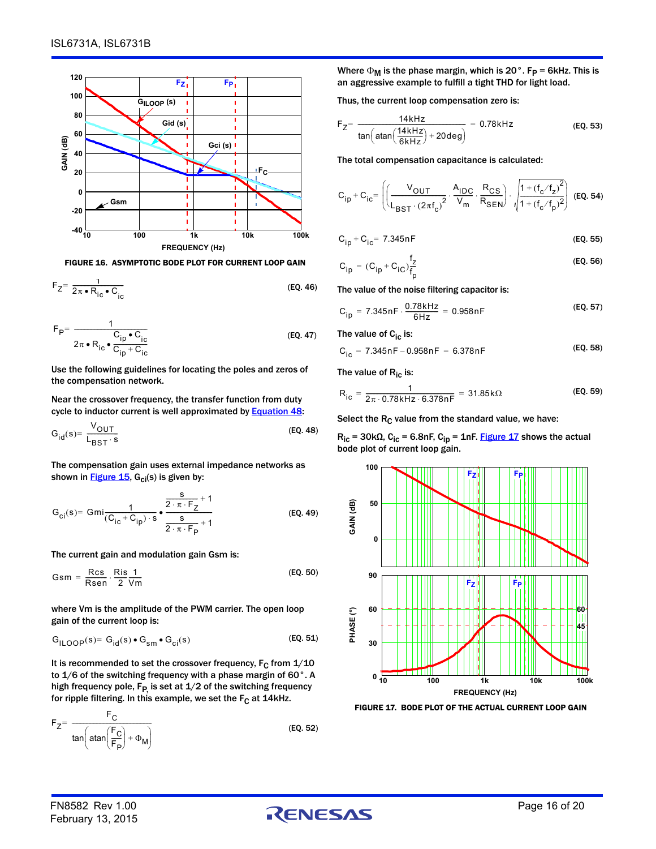

FIGURE 16. ASYMPTOTIC BODE PLOT FOR CURRENT LOOP GAIN

$$
F_Z = \frac{1}{2\pi \cdot R_{ic} \cdot C_{ic}}
$$
 (EQ. 46)

$$
F_{\mathsf{P}} = \frac{1}{2\pi \cdot R_{\mathsf{ic}} \cdot \frac{C_{\mathsf{ip}} \cdot C_{\mathsf{ic}}}{C_{\mathsf{ip}} + C_{\mathsf{ic}}}}
$$
(EQ. 47)

Use the following guidelines for locating the poles and zeros of the compensation network.

Near the crossover frequency, the transfer function from duty cycle to inductor current is well approximated by **Equation 48:** 

$$
G_{id}(s) = \frac{V_{OUT}}{L_{BST} \cdot s}
$$
 (EQ. 48)

The compensation gain uses external impedance networks as shown in **Figure 15**,  $G_{ci}(s)$  is given by:

$$
G_{ci}(s) = Gmi \frac{1}{(C_{ic} + C_{ip}) \cdot s} \cdot \frac{\frac{s}{2 \cdot \pi \cdot F_Z} + 1}{\frac{s}{2 \cdot \pi \cdot F_P} + 1}
$$
 (EQ. 49)

The current gain and modulation gain Gsm is:

$$
Gsm = \frac{Rcs}{Rsen} \cdot \frac{Ris \ 1}{2 \ Vm}
$$
 (EQ. 50)

where Vm is the amplitude of the PWM carrier. The open loop gain of the current loop is:

$$
G_{I\text{LOOP}}(s) = G_{\text{id}}(s) \bullet G_{\text{sm}} \bullet G_{\text{ci}}(s) \tag{EQ. 51}
$$

It is recommended to set the crossover frequency,  $F_C$  from  $1/10$ to 1/6 of the switching frequency with a phase margin of 60°. A high frequency pole,  $F_P$  is set at  $1/2$  of the switching frequency for ripple filtering. In this example, we set the  $F_C$  at 14kHz.

$$
F_Z = \frac{F_C}{\tan\left(\text{atan}\left(\frac{F_C}{F_P}\right) + \Phi_M\right)}
$$
(EQ. 52)

Where  $\Phi_M$  is the phase margin, which is 20°. F<sub>P</sub> = 6kHz. This is an aggressive example to fulfill a tight THD for light load.

Thus, the current loop compensation zero is:

$$
F_Z = \frac{14 \text{kHz}}{\tan\left(\text{atan}\left(\frac{14 \text{kHz}}{6 \text{kHz}}\right) + 20 \text{deg}\right)} = 0.78 \text{kHz}
$$
 (EQ. 53)

The total compensation capacitance is calculated:

$$
C_{ip} + C_{ic} = \left( \left( \frac{V_{OUT}}{L_{BST} \cdot (2\pi f_c)^2} \cdot \frac{A_{IDC}}{V_m} \cdot \frac{R_{CS}}{R_{SEN}} \right) \cdot \sqrt{\frac{1 + (f_c/f_z)^2}{1 + (f_c/f_p)^2}} \right) \text{ (Eq. 54)}
$$

$$
C_{ip} + C_{ic} = 7.345nF
$$
 (EQ. 55)

$$
C_{ip} = (C_{ip} + C_{iC}) \frac{f_2}{f_p}
$$
 (EQ. 56)

The value of the noise filtering capacitor is:

$$
C_{ip} = 7.345nF \cdot \frac{0.78kHz}{6Hz} = 0.958nF
$$
 (EQ. 57)

The value of  $C_{iC}$  is:

$$
C_{ic} = 7.345nF - 0.958nF = 6.378nF
$$
 (EQ. 58)

The value of  $R_{ic}$  is:

$$
R_{ic} = \frac{1}{2\pi \cdot 0.78kHz \cdot 6.378nF} = 31.85k\Omega
$$
 (EQ. 59)

Select the  $R_C$  value from the standard value, we have:

<span id="page-15-1"></span> $R_{ic}$  = 30k $\Omega$ , C<sub>ic</sub> = 6.8nF, C<sub>ip</sub> = 1nF. [Figure 17](#page-15-0) shows the actual bode plot of current loop gain.



<span id="page-15-0"></span>FIGURE 17. BODE PLOT OF THE ACTUAL CURRENT LOOP GAIN

FN8582 Rev 1.00  $\bigcap_{\text{Page 16 of 20}}$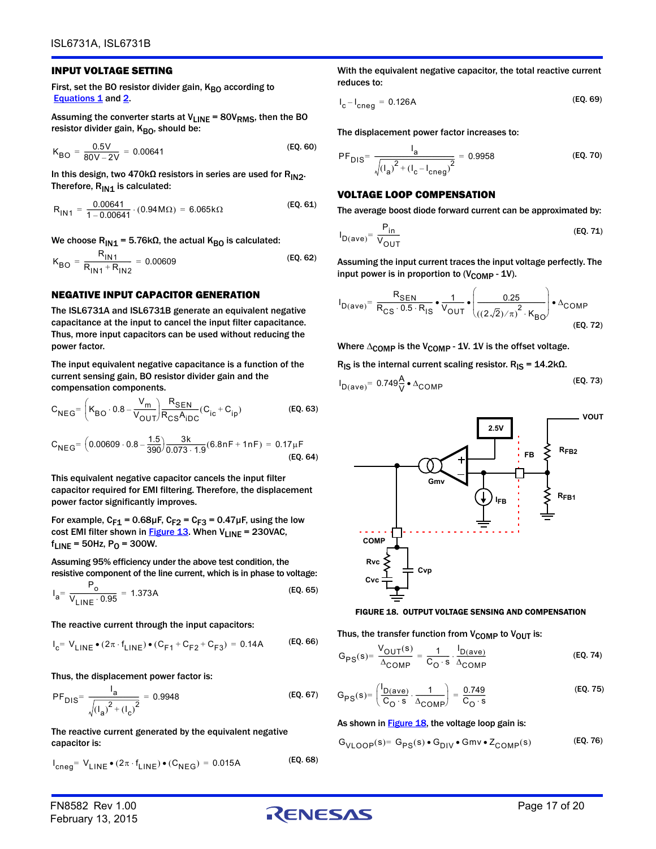#### INPUT VOLTAGE SETTING

First, set the BO resistor divider gain,  $K_{BO}$  according to [Equations 1](#page-10-3) and [2](#page-10-4).

Assuming the converter starts at  $V_{LINE} = 80V_{RMS}$ , then the BO resistor divider gain, KBO, should be:

$$
K_{BO} = \frac{0.5V}{80V - 2V} = 0.00641
$$
 (EQ. 60)

In this design, two 470kΩ resistors in series are used for R<sub>IN2</sub>. Therefore,  $R_{IN1}$  is calculated:

$$
R_{1N1} = \frac{0.00641}{1 - 0.00641} \cdot (0.94 M\Omega) = 6.065 k\Omega
$$
 (EQ. 61)

We choose  $R_{IN1}$  = 5.76k $\Omega$ , the actual K<sub>BO</sub> is calculated:

$$
K_{BO} = \frac{R_{1N1}}{R_{1N1} + R_{1N2}} = 0.00609
$$
 (EQ. 62)

#### NEGATIVE INPUT CAPACITOR GENERATION

The ISL6731A and ISL6731B generate an equivalent negative capacitance at the input to cancel the input filter capacitance. Thus, more input capacitors can be used without reducing the power factor.

The input equivalent negative capacitance is a function of the current sensing gain, BO resistor divider gain and the compensation components.

$$
C_{NEG} = \left(K_{BO} \cdot 0.8 - \frac{V_m}{V_{OUT}}\right) \frac{R_{SEN}}{R_{CS}A_{IDC}} (C_{ic} + C_{ip})
$$
 (EQ. 63)

$$
C_{NEG} = \left(0.00609 \cdot 0.8 - \frac{1.5}{390}\right) \frac{3k}{0.073 \cdot 1.9} (6.8nF + 1nF) = 0.17 \mu F
$$
\n(EQ. 64)

This equivalent negative capacitor cancels the input filter capacitor required for EMI filtering. Therefore, the displacement power factor significantly improves.

For example,  $C_{F1} = 0.68 \mu F$ ,  $C_{F2} = C_{F3} = 0.47 \mu F$ , using the low cost EMI filter shown in **Figure 13**. When  $V_{LINE}$  = 230VAC,  $f_{LINE} = 50$ Hz, P<sub>O</sub> = 300W.

Assuming 95% efficiency under the above test condition, the resistive component of the line current, which is in phase to voltage:

$$
I_{a} = \frac{P_{o}}{V_{LINE} \cdot 0.95} = 1.373A
$$
 (EQ. 65)

The reactive current through the input capacitors:

$$
I_{c} = V_{LINE} \bullet (2\pi \cdot f_{LINE}) \bullet (C_{F1} + C_{F2} + C_{F3}) = 0.14A
$$
 (EQ. 66)

Thus, the displacement power factor is:

$$
PF_{DIS} = \frac{I_a}{\sqrt{(I_a)^2 + (I_c)^2}} = 0.9948
$$
 (EQ. 67)

The reactive current generated by the equivalent negative capacitor is:

$$
I_{\text{cneg}} = V_{\text{LINE}} \bullet (2\pi \cdot f_{\text{LINE}}) \bullet (C_{\text{NEG}}) = 0.015 \text{A}
$$
 (EQ. 68)

With the equivalent negative capacitor, the total reactive current reduces to:

$$
I_{c} - I_{cneg} = 0.126A
$$
 (EQ. 69)

The displacement power factor increases to:

$$
PF_{DIS} = \frac{I_a}{\sqrt{(I_a)^2 + (I_c - I_{cneg})^2}} = 0.9958
$$
 (Eq. 70)

#### VOLTAGE LOOP COMPENSATION

The average boost diode forward current can be approximated by:

$$
I_{D(ave)} = \frac{P_{in}}{V_{OUT}}
$$
 (EQ. 71)

Assuming the input current traces the input voltage perfectly. The input power is in proportion to  $(V_{\text{COMP}} - 1V)$ .

$$
I_{D(ave)} = \frac{R_{SEN}}{R_{CS} \cdot 0.5 \cdot R_{IS}} \cdot \frac{1}{V_{OUT}} \cdot \left(\frac{0.25}{((2\sqrt{2})/\pi)^2 \cdot K_{BO}}\right) \cdot \frac{\Lambda_{COMP}}{(EQ.72)}
$$
\n(EQ.72)

Where  $\Delta_{\text{COMP}}$  is the V<sub>COMP</sub> - 1V. 1V is the offset voltage.

R<sub>IS</sub> is the internal current scaling resistor. R<sub>IS</sub> =  $14.2$ kΩ.

$$
I_{D(ave)} = 0.749 \frac{A}{V} \cdot \Delta_{COMP}
$$
 (EQ. 73)



#### <span id="page-16-0"></span>FIGURE 18. OUTPUT VOLTAGE SENSING AND COMPENSATION

Thus, the transfer function from  $V_{\text{COMP}}$  to  $V_{\text{OUT}}$  is:

$$
G_{PS}(s) = \frac{V_{OUT}(s)}{\Delta_{COMP}} = \frac{1}{C_O \cdot s} \cdot \frac{I_{D(ave)}}{\Delta_{COMP}}
$$
(EQ. 74)

$$
G_{PS}(s) = \left(\frac{I_{D(ave)}}{C_O \cdot s} \cdot \frac{1}{\Delta_{COMP}}\right) = \frac{0.749}{C_O \cdot s}
$$
 (EQ. 75)

#### As shown in  $Figure 18$ , the voltage loop gain is:

$$
G_{\text{VLOOP}}(s) = G_{\text{PS}}(s) \bullet G_{\text{DIV}} \bullet G_{\text{MV}} \bullet Z_{\text{COMP}}(s) \tag{Eq. 76}
$$

February 13, 2015

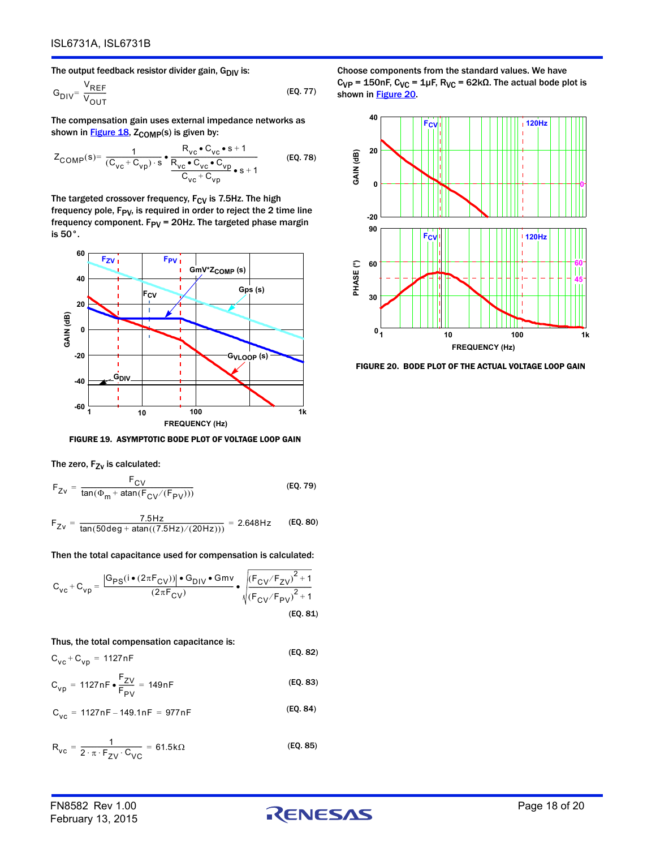The output feedback resistor divider gain,  $G_{\text{DIV}}$  is:

$$
G_{\text{DIV}} = \frac{V_{\text{REF}}}{V_{\text{OUT}}}
$$
 (EQ. 77)

The compensation gain uses external impedance networks as shown in  $Figure 18$ ,  $Z_{COMP}(s)$  is given by:

$$
Z_{\text{COMP}}(s) = \frac{1}{(C_{\text{VC}} + C_{\text{VD}}) \cdot s} \cdot \frac{R_{\text{VC}} \cdot C_{\text{VC}} \cdot s + 1}{R_{\text{VC}} \cdot C_{\text{VC}} \cdot C_{\text{VD}} \cdot s + 1}
$$
 (EQ. 78)

The targeted crossover frequency,  $F_{CV}$  is 7.5Hz. The high frequency pole,  $F_{PV}$ , is required in order to reject the 2 time line frequency component.  $F_{PV}$  = 20Hz. The targeted phase margin is 50°.



FIGURE 19. ASYMPTOTIC BODE PLOT OF VOLTAGE LOOP GAIN

The zero,  $F_{ZV}$  is calculated:

$$
F_{Zv} = \frac{F_{CV}}{\tan(\Phi_m + \text{atan}(F_{CV}/(F_{PV})))}
$$
 (EQ. 79)

$$
F_{Zv} = \frac{7.5 \text{Hz}}{\tan(50 \text{deg} + \text{atan}((7.5 \text{Hz})/(20 \text{Hz})))} = 2.648 \text{Hz}
$$
 (EQ. 80)

Then the total capacitance used for compensation is calculated:

$$
C_{VC} + C_{vp} = \frac{|G_{PS}(i \bullet (2\pi F_{CV}))| \bullet G_{DIV} \bullet Gmv}{(2\pi F_{CV})} \bullet \sqrt{\frac{(F_{CV}/F_{ZV})^2 + 1}{(F_{CV}/F_{PV})^2 + 1}}
$$

(EQ. 81)

Thus, the total compensation capacitance is:

$$
C_{\rm VC} + C_{\rm vp} = 1127 \,\text{nF}
$$
 (EQ. 82)

$$
C_{vp} = 1127nF \bullet \frac{F_{ZV}}{F_{PV}} = 149nF
$$
 (EQ. 83)

$$
C_{VC} = 1127nF - 149.1nF = 977nF
$$
 (EQ. 84)

$$
R_{VC} = \frac{1}{2 \cdot \pi \cdot F_{ZV} \cdot C_{VC}} = 61.5 k\Omega
$$
 (EQ. 85)

Choose components from the standard values. We have  $C_{VP}$  = 150nF,  $C_{VC}$  = 1μF,  $R_{VC}$  = 62kΩ. The actual bode plot is shown in [Figure 20](#page-17-0).



<span id="page-17-0"></span>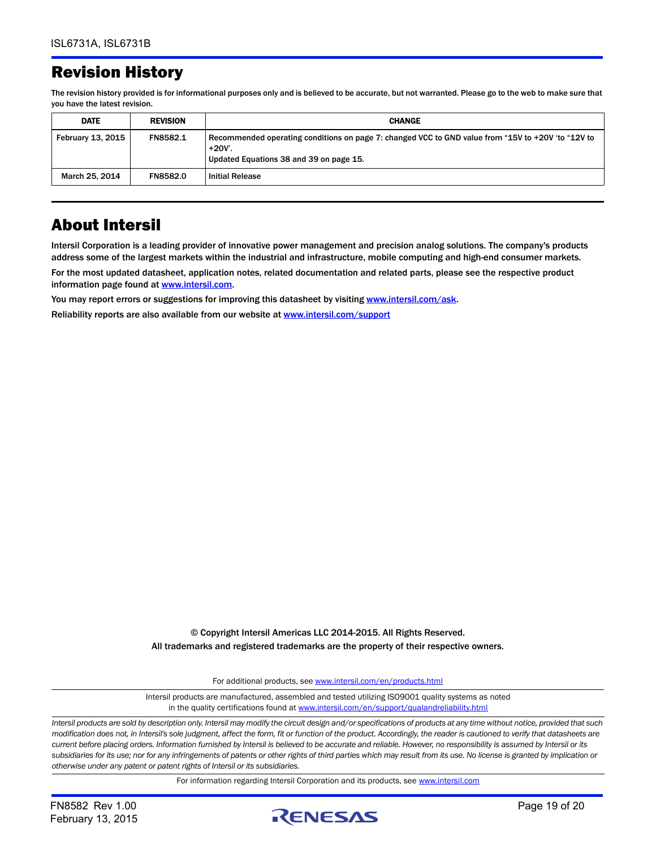# Revision History

The revision history provided is for informational purposes only and is believed to be accurate, but not warranted. Please go to the web to make sure that you have the latest revision.

| <b>DATE</b>              | <b>REVISION</b> | <b>CHANGE</b>                                                                                                                                           |
|--------------------------|-----------------|---------------------------------------------------------------------------------------------------------------------------------------------------------|
| <b>February 13, 2015</b> | FN8582.1        | Recommended operating conditions on page 7: changed VCC to GND value from "15V to +20V 'to "12V to<br>+20V'.<br>Updated Equations 38 and 39 on page 15. |
| March 25, 2014           | <b>FN8582.0</b> | <b>Initial Release</b>                                                                                                                                  |

# About Intersil

Intersil Corporation is a leading provider of innovative power management and precision analog solutions. The company's products address some of the largest markets within the industrial and infrastructure, mobile computing and high-end consumer markets.

For the most updated datasheet, application notes, related documentation and related parts, please see the respective product information page found at [www.intersil.com.](www.intersil.com)

You may report errors or suggestions for improving this datasheet by visiting [www.intersil.com/ask](http://www.intersil.com/en/support/support-faqs.html?p_page=ask.php&p_prods=679&p_icf_7=ISL6731a-b).

Reliability reports are also available from our website at [www.intersil.com/support](http://www.intersil.com/en/support/qualandreliability.html#reliability)

© Copyright Intersil Americas LLC 2014-2015. All Rights Reserved. All trademarks and registered trademarks are the property of their respective owners.

For additional products, see [www.intersil.com/en/products.html](http://www.intersil.com/en/products.html?utm_source=Intersil&utm_medium=datasheet&utm_campaign=disclaimer-ds-footer)

[Intersil products are manufactured, assembled and tested utilizing ISO9001 quality systems as noted](http://www.intersil.com/en/products.html?utm_source=Intersil&utm_medium=datasheet&utm_campaign=disclaimer-ds-footer) in the quality certifications found at [www.intersil.com/en/support/qualandreliability.html](http://www.intersil.com/en/support/qualandreliability.html?utm_source=Intersil&utm_medium=datasheet&utm_campaign=disclaimer-ds-footer)

*Intersil products are sold by description only. Intersil may modify the circuit design and/or specifications of products at any time without notice, provided that such modification does not, in Intersil's sole judgment, affect the form, fit or function of the product. Accordingly, the reader is cautioned to verify that datasheets are current before placing orders. Information furnished by Intersil is believed to be accurate and reliable. However, no responsibility is assumed by Intersil or its subsidiaries for its use; nor for any infringements of patents or other rights of third parties which may result from its use. No license is granted by implication or otherwise under any patent or patent rights of Intersil or its subsidiaries.*

For information regarding Intersil Corporation and its products, see [www.intersil.com](http://www.intersil.com?utm_source=intersil&utm_medium=datasheet&utm_campaign=disclaimer-ds-footer)

February 13, 2015